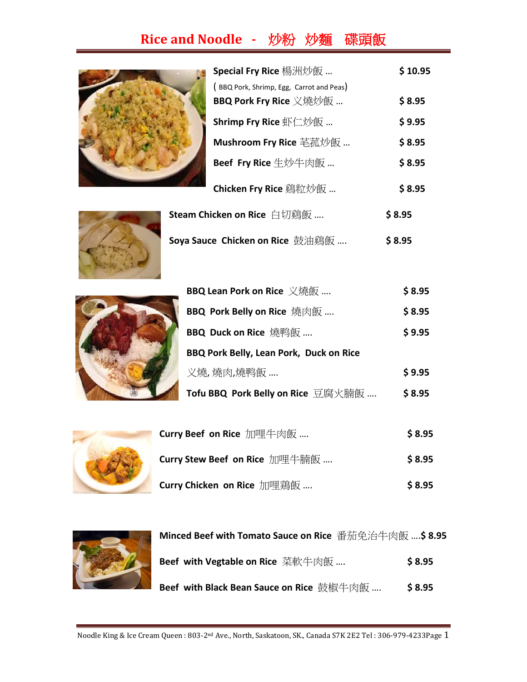## **Rice and Noodle -** 炒粉 炒麵碟頭飯



| <b>Special Fry Rice</b> 楊洲炒飯                                       | \$10.95 |
|--------------------------------------------------------------------|---------|
| (BBQ Pork, Shrimp, Egg, Carrot and Peas)<br>BBQ Pork Fry Rice 义燒炒飯 | \$8.95  |
| Shrimp Fry Rice 虾仁炒飯                                               | \$9.95  |
| Mushroom Fry Rice 芼菰炒飯                                             | \$8.95  |
| <b>Beef Fry Rice</b> 生炒牛肉飯                                         | \$8.95  |
| <b>Chicken Fry Rice</b> 鷄粒炒飯                                       | \$8.95  |
| <b>hicken on Rice</b> 白切鷄飯                                         | S 8.95  |



| Steam Chicken on Rice 白切鷄飯      | \$8.95 |
|---------------------------------|--------|
| Soya Sauce Chicken on Rice 鼓油鷄飯 | \$8.95 |
|                                 |        |



| BBQ Lean Pork on Rice 义燒飯                      | \$8.95 |
|------------------------------------------------|--------|
| <b>BBQ Pork Belly on Rice</b> 燒肉飯              | \$8.95 |
| BBQ Duck on Rice 燒鸭飯                           | \$9.95 |
| <b>BBQ Pork Belly, Lean Pork, Duck on Rice</b> |        |
| 义燒,燒肉,燒鸭飯                                      | \$9.95 |
| Tofu BBQ Pork Belly on Rice 豆腐火腩飯              | \$8.95 |



| Curry Beef on Rice 加哩牛肉飯      | \$8.95 |
|-------------------------------|--------|
| Curry Stew Beef on Rice 加哩牛腩飯 | \$8.95 |
| Curry Chicken on Rice 加哩鶏飯    | \$8.95 |



| Minced Beef with Tomato Sauce on Rice 番茄免治牛肉飯 \$ 8.95 |        |
|-------------------------------------------------------|--------|
| Beef with Vegtable on Rice 菜軟牛肉飯                      | \$8.95 |
| Beef with Black Bean Sauce on Rice 鼓椒牛肉飯              | \$8.95 |